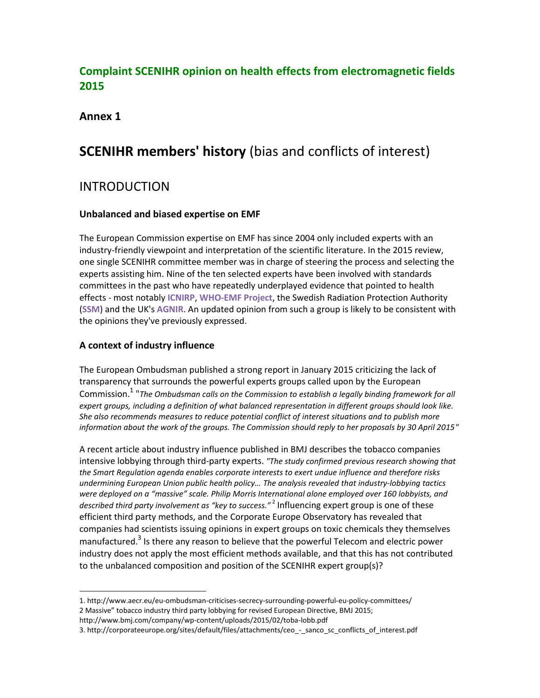# **Complaint SCENIHR opinion on health effects from electromagnetic fields 2015**

#### **Annex 1**

 $\overline{a}$ 

# **SCENIHR members' history** (bias and conflicts of interest)

# INTRODUCTION

#### **Unbalanced and biased expertise on EMF**

The European Commission expertise on EMF has since 2004 only included experts with an industry-friendly viewpoint and interpretation of the scientific literature. In the 2015 review, one single SCENIHR committee member was in charge of steering the process and selecting the experts assisting him. Nine of the ten selected experts have been involved with standards committees in the past who have repeatedly underplayed evidence that pointed to health effects - most notably **ICNIRP**, **WHO-EMF Project**, the Swedish Radiation Protection Authority (**SSM**) and the UK's **AGNIR**. An updated opinion from such a group is likely to be consistent with the opinions they've previously expressed.

#### **A context of industry influence**

The European Ombudsman published a strong report in January 2015 criticizing the lack of transparency that surrounds the powerful experts groups called upon by the European Commission.<sup>1</sup> "*The Ombudsman calls on the Commission to establish a legally binding framework for all expert groups, including a definition of what balanced representation in different groups should look like. She also recommends measures to reduce potential conflict of interest situations and to publish more information about the work of the groups. The Commission should reply to her proposals by 30 April 2015"*

A recent article about industry influence published in BMJ describes the tobacco companies intensive lobbying through third-party experts. *"The study confirmed previous research showing that the Smart Regulation agenda enables corporate interests to exert undue influence and therefore risks undermining European Union public health policy… The analysis revealed that industry-lobbying tactics were deployed on a "massive" scale. Philip Morris International alone employed over 160 lobbyists, and described third party involvement as "key to success."* <sup>2</sup> Influencing expert group is one of these efficient third party methods, and the Corporate Europe Observatory has revealed that companies had scientists issuing opinions in expert groups on toxic chemicals they themselves manufactured.<sup>3</sup> Is there any reason to believe that the powerful Telecom and electric power industry does not apply the most efficient methods available, and that this has not contributed to the unbalanced composition and position of the SCENIHR expert group(s)?

<sup>1.</sup> http://www.aecr.eu/eu-ombudsman-criticises-secrecy-surrounding-powerful-eu-policy-committees/ 2 Massive" tobacco industry third party lobbying for revised European Directive, BMJ 2015; http://www.bmj.com/company/wp-content/uploads/2015/02/toba-lobb.pdf

<sup>3.</sup> http://corporateeurope.org/sites/default/files/attachments/ceo\_-\_sanco\_sc\_conflicts\_of\_interest.pdf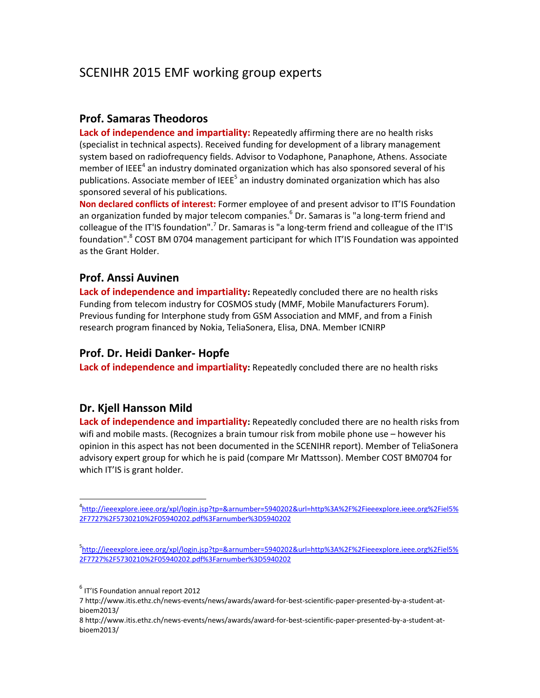# SCENIHR 2015 EMF working group experts

#### **Prof. Samaras Theodoros**

**Lack of independence and impartiality:** Repeatedly affirming there are no health risks (specialist in technical aspects). Received funding for development of a library management system based on radiofrequency fields. Advisor to Vodaphone, Panaphone, Athens. Associate member of IEEE<sup>4</sup> an industry dominated organization which has also sponsored several of his publications. Associate member of IEEE<sup>5</sup> an industry dominated organization which has also sponsored several of his publications.

**Non declared conflicts of interest:** Former employee of and present advisor to IT'IS Foundation an organization funded by major telecom companies. <sup>6</sup> Dr. Samaras is "a long-term friend and colleague of the IT'IS foundation".<sup>7</sup> Dr. Samaras is "a long-term friend and colleague of the IT'IS foundation".<sup>8</sup> COST BM 0704 management participant for which IT'IS Foundation was appointed as the Grant Holder.

#### **Prof. Anssi Auvinen**

**Lack of independence and impartiality:** Repeatedly concluded there are no health risks Funding from telecom industry for COSMOS study (MMF, Mobile Manufacturers Forum). Previous funding for Interphone study from GSM Association and MMF, and from a Finish research program financed by Nokia, TeliaSonera, Elisa, DNA. Member ICNIRP

# **Prof. Dr. Heidi Danker- Hopfe**

**Lack of independence and impartiality:** Repeatedly concluded there are no health risks

# **Dr. Kjell Hansson Mild**

 $\overline{a}$ 

**Lack of independence and impartiality:** Repeatedly concluded there are no health risks from wifi and mobile masts. (Recognizes a brain tumour risk from mobile phone use – however his opinion in this aspect has not been documented in the SCENIHR report). Member of TeliaSonera advisory expert group for which he is paid (compare Mr Mattsson). Member COST BM0704 for which IT'IS is grant holder.

<sup>4</sup> [http://ieeexplore.ieee.org/xpl/login.jsp?tp=&arnumber=5940202&url=http%3A%2F%2Fieeexplore.ieee.org%2Fiel5%](http://ieeexplore.ieee.org/xpl/login.jsp?tp=&arnumber=5940202&url=http%3A%2F%2Fieeexplore.ieee.org%2Fiel5%2F7727%2F5730210%2F05940202.pdf%3Farnumber%3D5940202) [2F7727%2F5730210%2F05940202.pdf%3Farnumber%3D5940202](http://ieeexplore.ieee.org/xpl/login.jsp?tp=&arnumber=5940202&url=http%3A%2F%2Fieeexplore.ieee.org%2Fiel5%2F7727%2F5730210%2F05940202.pdf%3Farnumber%3D5940202)

<sup>5</sup> [http://ieeexplore.ieee.org/xpl/login.jsp?tp=&arnumber=5940202&url=http%3A%2F%2Fieeexplore.ieee.org%2Fiel5%](http://ieeexplore.ieee.org/xpl/login.jsp?tp=&arnumber=5940202&url=http%3A%2F%2Fieeexplore.ieee.org%2Fiel5%2F7727%2F5730210%2F05940202.pdf%3Farnumber%3D5940202) [2F7727%2F5730210%2F05940202.pdf%3Farnumber%3D5940202](http://ieeexplore.ieee.org/xpl/login.jsp?tp=&arnumber=5940202&url=http%3A%2F%2Fieeexplore.ieee.org%2Fiel5%2F7727%2F5730210%2F05940202.pdf%3Farnumber%3D5940202)

<sup>6</sup> IT'IS Foundation annual report 2012

<sup>7</sup> http://www.itis.ethz.ch/news-events/news/awards/award-for-best-scientific-paper-presented-by-a-student-atbioem2013/

<sup>8</sup> http://www.itis.ethz.ch/news-events/news/awards/award-for-best-scientific-paper-presented-by-a-student-atbioem2013/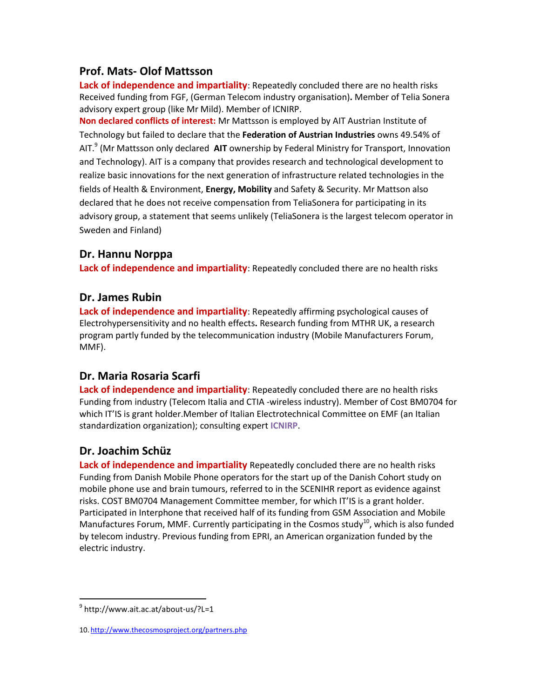### **Prof. Mats- Olof Mattsson**

**Lack of independence and impartiality**: Repeatedly concluded there are no health risks Received funding from FGF, (German Telecom industry organisation)**.** Member of Telia Sonera advisory expert group (like Mr Mild). Member of ICNIRP.

**Non declared conflicts of interest:** Mr Mattsson is employed by [AIT Austrian Institute of](http://www.researchgate.net/institution/AIT_Austrian_Institute_of_Technology)  Technology but failed to declare that the **[Federation of Austrian Industries](http://www.researchgate.net/institution/AIT_Austrian_Institute_of_Technology)** owns 49.54% of AIT. 9 [\(Mr Mattsson only declared](http://www.researchgate.net/institution/AIT_Austrian_Institute_of_Technology) **AIT** ownership by [Federal Ministry for Transport, Innovation](http://www.bmvit.gv.at/en/index.html)  [and Technology\)](http://www.bmvit.gv.at/en/index.html). AIT is a company that provides research and technological development to realize basic innovations for the next generation of infrastructure related technologies in the fields of Health & Environment, **Energy, Mobility** and Safety & Security. Mr Mattson also declared that he does not receive compensation from TeliaSonera for participating in its advisory group, a statement that seems unlikely (TeliaSonera is the largest telecom operator in Sweden and Finland)

#### **Dr. Hannu Norppa**

**Lack of independence and impartiality**: Repeatedly concluded there are no health risks

#### **Dr. James Rubin**

**Lack of independence and impartiality**: Repeatedly affirming psychological causes of Electrohypersensitivity and no health effects**.** Research funding from MTHR UK, a research program partly funded by the telecommunication industry (Mobile Manufacturers Forum, MMF).

# **Dr. Maria Rosaria Scarfi**

**Lack of independence and impartiality**: Repeatedly concluded there are no health risks Funding from industry (Telecom Italia and CTIA -wireless industry). Member of Cost BM0704 for which IT'IS is grant holder. Member of Italian Electrotechnical Committee on EMF (an Italian standardization organization); consulting expert **ICNIRP**.

# **Dr. Joachim Schüz**

**Lack of independence and impartiality** Repeatedly concluded there are no health risks Funding from Danish Mobile Phone operators for the start up of the Danish Cohort study on mobile phone use and brain tumours, referred to in the SCENIHR report as evidence against risks. COST BM0704 Management Committee member, for which IT'IS is a grant holder. Participated in Interphone that received half of its funding from GSM Association and Mobile Manufactures Forum, MMF. Currently participating in the Cosmos study<sup>10</sup>, which is also funded by telecom industry. Previous funding from EPRI, an American organization funded by the electric industry.

 $\overline{\phantom{a}}$ 

<sup>&</sup>lt;sup>9</sup> http://www.ait.ac.at/about-us/?L=1

<sup>10.</sup> <http://www.thecosmosproject.org/partners.php>